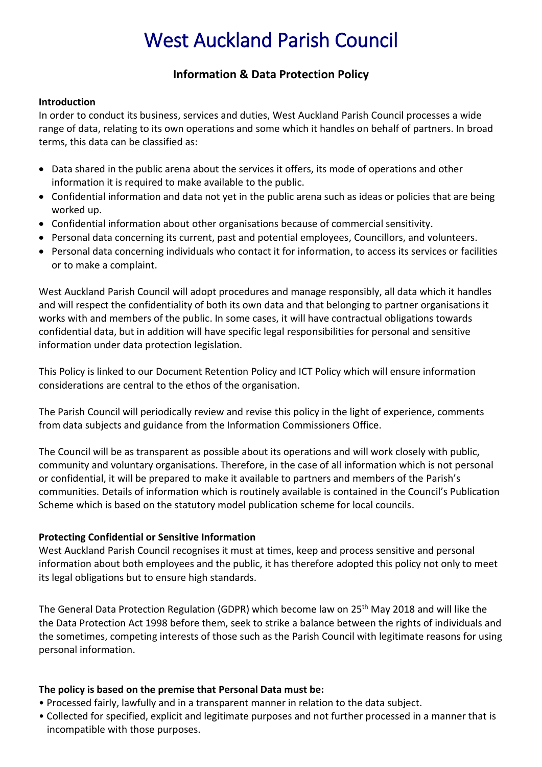# West Auckland Parish Council

# **Information & Data Protection Policy**

### **Introduction**

In order to conduct its business, services and duties, West Auckland Parish Council processes a wide range of data, relating to its own operations and some which it handles on behalf of partners. In broad terms, this data can be classified as:

- Data shared in the public arena about the services it offers, its mode of operations and other information it is required to make available to the public.
- Confidential information and data not yet in the public arena such as ideas or policies that are being worked up.
- Confidential information about other organisations because of commercial sensitivity.
- Personal data concerning its current, past and potential employees, Councillors, and volunteers.
- Personal data concerning individuals who contact it for information, to access its services or facilities or to make a complaint.

West Auckland Parish Council will adopt procedures and manage responsibly, all data which it handles and will respect the confidentiality of both its own data and that belonging to partner organisations it works with and members of the public. In some cases, it will have contractual obligations towards confidential data, but in addition will have specific legal responsibilities for personal and sensitive information under data protection legislation.

This Policy is linked to our Document Retention Policy and ICT Policy which will ensure information considerations are central to the ethos of the organisation.

The Parish Council will periodically review and revise this policy in the light of experience, comments from data subjects and guidance from the Information Commissioners Office.

The Council will be as transparent as possible about its operations and will work closely with public, community and voluntary organisations. Therefore, in the case of all information which is not personal or confidential, it will be prepared to make it available to partners and members of the Parish's communities. Details of information which is routinely available is contained in the Council's Publication Scheme which is based on the statutory model publication scheme for local councils.

# **Protecting Confidential or Sensitive Information**

West Auckland Parish Council recognises it must at times, keep and process sensitive and personal information about both employees and the public, it has therefore adopted this policy not only to meet its legal obligations but to ensure high standards.

The General Data Protection Regulation (GDPR) which become law on 25th May 2018 and will like the the Data Protection Act 1998 before them, seek to strike a balance between the rights of individuals and the sometimes, competing interests of those such as the Parish Council with legitimate reasons for using personal information.

# **The policy is based on the premise that Personal Data must be:**

- Processed fairly, lawfully and in a transparent manner in relation to the data subject.
- Collected for specified, explicit and legitimate purposes and not further processed in a manner that is incompatible with those purposes.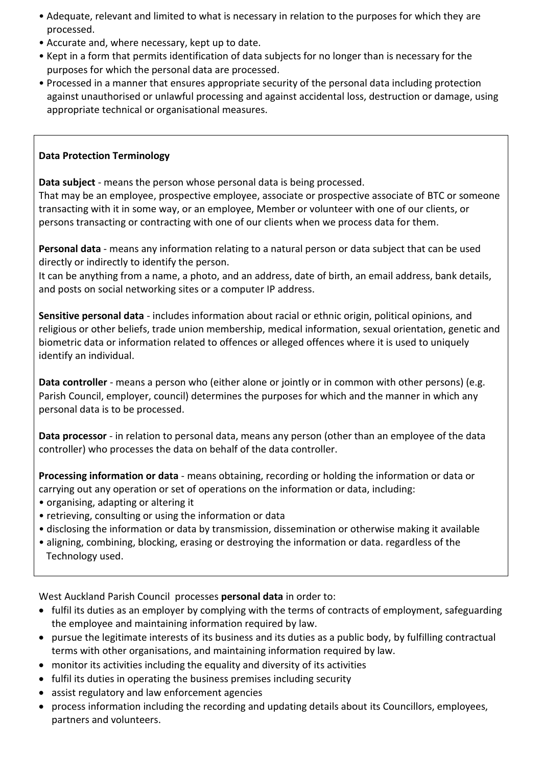- Adequate, relevant and limited to what is necessary in relation to the purposes for which they are processed.
- Accurate and, where necessary, kept up to date.
- Kept in a form that permits identification of data subjects for no longer than is necessary for the purposes for which the personal data are processed.
- Processed in a manner that ensures appropriate security of the personal data including protection against unauthorised or unlawful processing and against accidental loss, destruction or damage, using appropriate technical or organisational measures.

# **Data Protection Terminology**

**Data subject** - means the person whose personal data is being processed.

That may be an employee, prospective employee, associate or prospective associate of BTC or someone transacting with it in some way, or an employee, Member or volunteer with one of our clients, or persons transacting or contracting with one of our clients when we process data for them.

**Personal data** - means any information relating to a natural person or data subject that can be used directly or indirectly to identify the person.

It can be anything from a name, a photo, and an address, date of birth, an email address, bank details, and posts on social networking sites or a computer IP address.

**Sensitive personal data** - includes information about racial or ethnic origin, political opinions, and religious or other beliefs, trade union membership, medical information, sexual orientation, genetic and biometric data or information related to offences or alleged offences where it is used to uniquely identify an individual.

**Data controller** - means a person who (either alone or jointly or in common with other persons) (e.g. Parish Council, employer, council) determines the purposes for which and the manner in which any personal data is to be processed.

**Data processor** - in relation to personal data, means any person (other than an employee of the data controller) who processes the data on behalf of the data controller.

**Processing information or data** - means obtaining, recording or holding the information or data or carrying out any operation or set of operations on the information or data, including:

- organising, adapting or altering it
- retrieving, consulting or using the information or data
- disclosing the information or data by transmission, dissemination or otherwise making it available
- aligning, combining, blocking, erasing or destroying the information or data. regardless of the Technology used.

West Auckland Parish Council processes **personal data** in order to:

- fulfil its duties as an employer by complying with the terms of contracts of employment, safeguarding the employee and maintaining information required by law.
- pursue the legitimate interests of its business and its duties as a public body, by fulfilling contractual terms with other organisations, and maintaining information required by law.
- monitor its activities including the equality and diversity of its activities
- fulfil its duties in operating the business premises including security
- assist regulatory and law enforcement agencies
- process information including the recording and updating details about its Councillors, employees, partners and volunteers.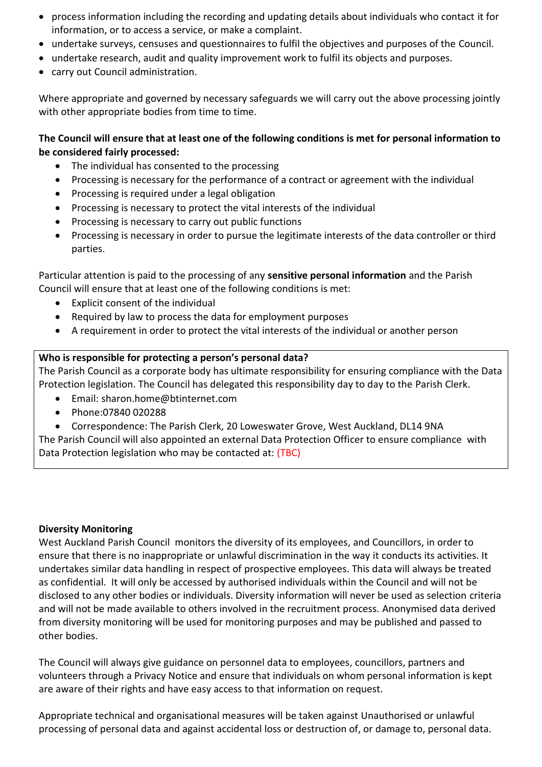- process information including the recording and updating details about individuals who contact it for information, or to access a service, or make a complaint.
- undertake surveys, censuses and questionnaires to fulfil the objectives and purposes of the Council.
- undertake research, audit and quality improvement work to fulfil its objects and purposes.
- carry out Council administration.

Where appropriate and governed by necessary safeguards we will carry out the above processing jointly with other appropriate bodies from time to time.

# **The Council will ensure that at least one of the following conditions is met for personal information to be considered fairly processed:**

- The individual has consented to the processing
- Processing is necessary for the performance of a contract or agreement with the individual
- Processing is required under a legal obligation
- Processing is necessary to protect the vital interests of the individual
- Processing is necessary to carry out public functions
- Processing is necessary in order to pursue the legitimate interests of the data controller or third parties.

Particular attention is paid to the processing of any **sensitive personal information** and the Parish Council will ensure that at least one of the following conditions is met:

- Explicit consent of the individual
- Required by law to process the data for employment purposes
- A requirement in order to protect the vital interests of the individual or another person

#### **Who is responsible for protecting a person's personal data?**

The Parish Council as a corporate body has ultimate responsibility for ensuring compliance with the Data Protection legislation. The Council has delegated this responsibility day to day to the Parish Clerk.

- Email: sharon.home@btinternet.com
- Phone:07840 020288
- Correspondence: The Parish Clerk, 20 Loweswater Grove, West Auckland, DL14 9NA

The Parish Council will also appointed an external Data Protection Officer to ensure compliance with Data Protection legislation who may be contacted at: (TBC)

#### **Diversity Monitoring**

West Auckland Parish Council monitors the diversity of its employees, and Councillors, in order to ensure that there is no inappropriate or unlawful discrimination in the way it conducts its activities. It undertakes similar data handling in respect of prospective employees. This data will always be treated as confidential. It will only be accessed by authorised individuals within the Council and will not be disclosed to any other bodies or individuals. Diversity information will never be used as selection criteria and will not be made available to others involved in the recruitment process. Anonymised data derived from diversity monitoring will be used for monitoring purposes and may be published and passed to other bodies.

The Council will always give guidance on personnel data to employees, councillors, partners and volunteers through a Privacy Notice and ensure that individuals on whom personal information is kept are aware of their rights and have easy access to that information on request.

Appropriate technical and organisational measures will be taken against Unauthorised or unlawful processing of personal data and against accidental loss or destruction of, or damage to, personal data.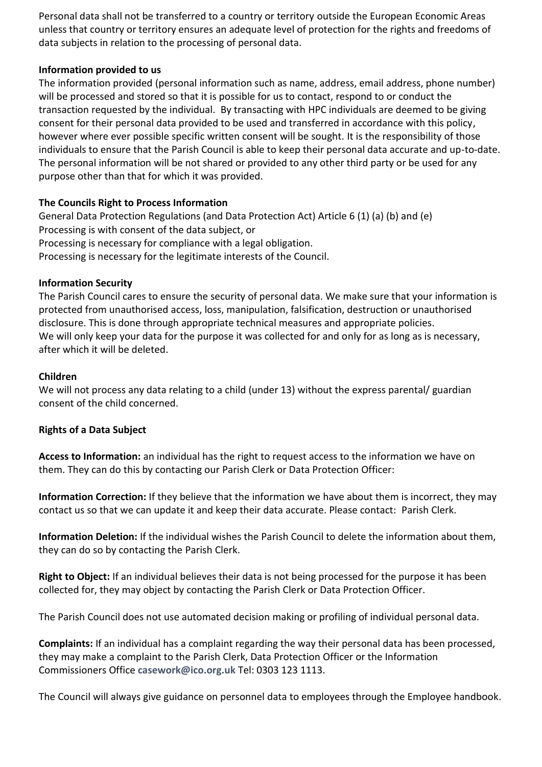Personal data shall not be transferred to a country or territory outside the European Economic Areas unless that country or territory ensures an adequate level of protection for the rights and freedoms of data subjects in relation to the processing of personal data.

# **Information provided to us**

The information provided (personal information such as name, address, email address, phone number) will be processed and stored so that it is possible for us to contact, respond to or conduct the transaction requested by the individual. By transacting with HPC individuals are deemed to be giving consent for their personal data provided to be used and transferred in accordance with this policy, however where ever possible specific written consent will be sought. It is the responsibility of those individuals to ensure that the Parish Council is able to keep their personal data accurate and up-to-date. The personal information will be not shared or provided to any other third party or be used for any purpose other than that for which it was provided.

#### **The Councils Right to Process Information**

General Data Protection Regulations (and Data Protection Act) Article 6 (1) (a) (b) and (e) Processing is with consent of the data subject, or Processing is necessary for compliance with a legal obligation. Processing is necessary for the legitimate interests of the Council.

#### **Information Security**

The Parish Council cares to ensure the security of personal data. We make sure that your information is protected from unauthorised access, loss, manipulation, falsification, destruction or unauthorised disclosure. This is done through appropriate technical measures and appropriate policies. We will only keep your data for the purpose it was collected for and only for as long as is necessary, after which it will be deleted.

#### **Children**

We will not process any data relating to a child (under 13) without the express parental/ guardian consent of the child concerned.

#### **Rights of a Data Subject**

**Access to Information:** an individual has the right to request access to the information we have on them. They can do this by contacting our Parish Clerk or Data Protection Officer:

**Information Correction:** If they believe that the information we have about them is incorrect, they may contact us so that we can update it and keep their data accurate. Please contact: Parish Clerk.

**Information Deletion:** If the individual wishes the Parish Council to delete the information about them, they can do so by contacting the Parish Clerk.

**Right to Object:** If an individual believes their data is not being processed for the purpose it has been collected for, they may object by contacting the Parish Clerk or Data Protection Officer.

The Parish Council does not use automated decision making or profiling of individual personal data.

**Complaints:** If an individual has a complaint regarding the way their personal data has been processed, they may make a complaint to the Parish Clerk, Data Protection Officer or the Information Commissioners Office **[casework@ico.org.uk](mailto:casework@ico.org.uk)** Tel: 0303 123 1113.

The Council will always give guidance on personnel data to employees through the Employee handbook.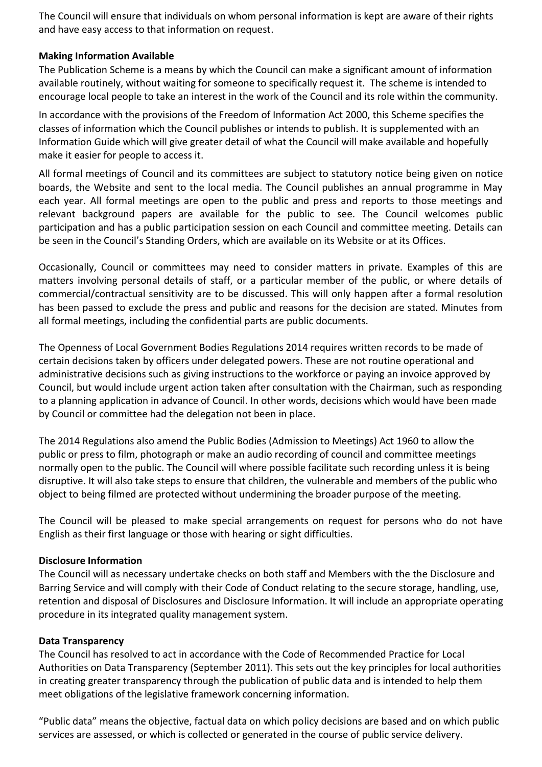The Council will ensure that individuals on whom personal information is kept are aware of their rights and have easy access to that information on request.

#### **Making Information Available**

The Publication Scheme is a means by which the Council can make a significant amount of information available routinely, without waiting for someone to specifically request it. The scheme is intended to encourage local people to take an interest in the work of the Council and its role within the community.

In accordance with the provisions of the Freedom of Information Act 2000, this Scheme specifies the classes of information which the Council publishes or intends to publish. It is supplemented with an Information Guide which will give greater detail of what the Council will make available and hopefully make it easier for people to access it.

All formal meetings of Council and its committees are subject to statutory notice being given on notice boards, the Website and sent to the local media. The Council publishes an annual programme in May each year. All formal meetings are open to the public and press and reports to those meetings and relevant background papers are available for the public to see. The Council welcomes public participation and has a public participation session on each Council and committee meeting. Details can be seen in the Council's Standing Orders, which are available on its Website or at its Offices.

Occasionally, Council or committees may need to consider matters in private. Examples of this are matters involving personal details of staff, or a particular member of the public, or where details of commercial/contractual sensitivity are to be discussed. This will only happen after a formal resolution has been passed to exclude the press and public and reasons for the decision are stated. Minutes from all formal meetings, including the confidential parts are public documents.

The Openness of Local Government Bodies Regulations 2014 requires written records to be made of certain decisions taken by officers under delegated powers. These are not routine operational and administrative decisions such as giving instructions to the workforce or paying an invoice approved by Council, but would include urgent action taken after consultation with the Chairman, such as responding to a planning application in advance of Council. In other words, decisions which would have been made by Council or committee had the delegation not been in place.

The 2014 Regulations also amend the Public Bodies (Admission to Meetings) Act 1960 to allow the public or press to film, photograph or make an audio recording of council and committee meetings normally open to the public. The Council will where possible facilitate such recording unless it is being disruptive. It will also take steps to ensure that children, the vulnerable and members of the public who object to being filmed are protected without undermining the broader purpose of the meeting.

The Council will be pleased to make special arrangements on request for persons who do not have English as their first language or those with hearing or sight difficulties.

#### **Disclosure Information**

The Council will as necessary undertake checks on both staff and Members with the the Disclosure and Barring Service and will comply with their Code of Conduct relating to the secure storage, handling, use, retention and disposal of Disclosures and Disclosure Information. It will include an appropriate operating procedure in its integrated quality management system.

#### **Data Transparency**

The Council has resolved to act in accordance with the Code of Recommended Practice for Local Authorities on Data Transparency (September 2011). This sets out the key principles for local authorities in creating greater transparency through the publication of public data and is intended to help them meet obligations of the legislative framework concerning information.

"Public data" means the objective, factual data on which policy decisions are based and on which public services are assessed, or which is collected or generated in the course of public service delivery.